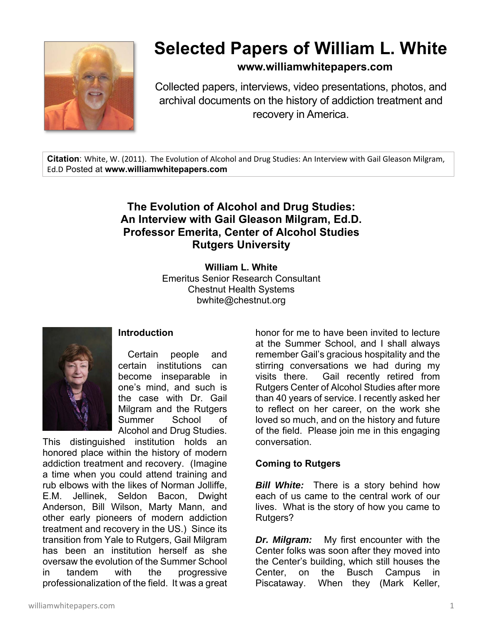

# **Selected Papers of William L. White**

**www.williamwhitepapers.com**

Collected papers, interviews, video presentations, photos, and archival documents on the history of addiction treatment and recovery in America.

**Citation**: White, W. (2011). The Evolution of Alcohol and Drug Studies: An Interview with Gail Gleason Milgram, Ed.D Posted at **www.williamwhitepapers.com** 

# **The Evolution of Alcohol and Drug Studies: An Interview with Gail Gleason Milgram, Ed.D. Professor Emerita, Center of Alcohol Studies Rutgers University**

**William L. White**  Emeritus Senior Research Consultant Chestnut Health Systems bwhite@chestnut.org



### **Introduction**

Certain people and certain institutions can become inseparable in one's mind, and such is the case with Dr. Gail Milgram and the Rutgers Summer School of Alcohol and Drug Studies.

This distinguished institution holds an honored place within the history of modern addiction treatment and recovery. (Imagine a time when you could attend training and rub elbows with the likes of Norman Jolliffe, E.M. Jellinek, Seldon Bacon, Dwight Anderson, Bill Wilson, Marty Mann, and other early pioneers of modern addiction treatment and recovery in the US.) Since its transition from Yale to Rutgers, Gail Milgram has been an institution herself as she oversaw the evolution of the Summer School in tandem with the progressive professionalization of the field. It was a great

honor for me to have been invited to lecture at the Summer School, and I shall always remember Gail's gracious hospitality and the stirring conversations we had during my visits there. Gail recently retired from Rutgers Center of Alcohol Studies after more than 40 years of service. I recently asked her to reflect on her career, on the work she loved so much, and on the history and future of the field. Please join me in this engaging conversation.

### **Coming to Rutgers**

*Bill White:* There is a story behind how each of us came to the central work of our lives. What is the story of how you came to Rutgers?

*Dr. Milgram:* My first encounter with the Center folks was soon after they moved into the Center's building, which still houses the Center, on the Busch Campus in Piscataway. When they (Mark Keller,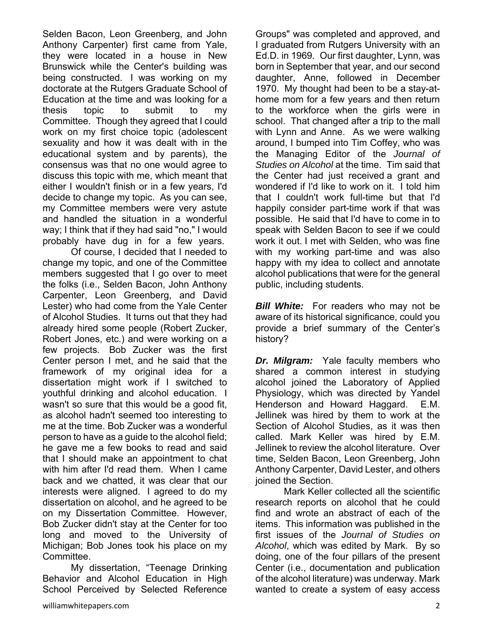Selden Bacon, Leon Greenberg, and John Anthony Carpenter) first came from Yale, they were located in a house in New Brunswick while the Center's building was being constructed. I was working on my doctorate at the Rutgers Graduate School of Education at the time and was looking for a thesis topic to submit to my Committee. Though they agreed that I could work on my first choice topic (adolescent sexuality and how it was dealt with in the educational system and by parents), the consensus was that no one would agree to discuss this topic with me, which meant that either I wouldn't finish or in a few years, I'd decide to change my topic. As you can see, my Committee members were very astute and handled the situation in a wonderful way; I think that if they had said "no," I would probably have dug in for a few years.

 Of course, I decided that I needed to change my topic, and one of the Committee members suggested that I go over to meet the folks (i.e., Selden Bacon, John Anthony Carpenter, Leon Greenberg, and David Lester) who had come from the Yale Center of Alcohol Studies. It turns out that they had already hired some people (Robert Zucker, Robert Jones, etc.) and were working on a few projects. Bob Zucker was the first Center person I met, and he said that the framework of my original idea for a dissertation might work if I switched to youthful drinking and alcohol education. I wasn't so sure that this would be a good fit, as alcohol hadn't seemed too interesting to me at the time. Bob Zucker was a wonderful person to have as a guide to the alcohol field; he gave me a few books to read and said that I should make an appointment to chat with him after I'd read them. When I came back and we chatted, it was clear that our interests were aligned. I agreed to do my dissertation on alcohol, and he agreed to be on my Dissertation Committee. However, Bob Zucker didn't stay at the Center for too long and moved to the University of Michigan; Bob Jones took his place on my Committee.

 My dissertation, "Teenage Drinking Behavior and Alcohol Education in High School Perceived by Selected Reference

Groups" was completed and approved, and I graduated from Rutgers University with an Ed.D. in 1969. Our first daughter, Lynn, was born in September that year, and our second daughter, Anne, followed in December 1970. My thought had been to be a stay-athome mom for a few years and then return to the workforce when the girls were in school. That changed after a trip to the mall with Lynn and Anne. As we were walking around, I bumped into Tim Coffey, who was the Managing Editor of the *Journal of Studies on Alcohol* at the time. Tim said that the Center had just received a grant and wondered if I'd like to work on it. I told him that I couldn't work full-time but that I'd happily consider part-time work if that was possible. He said that I'd have to come in to speak with Selden Bacon to see if we could work it out. I met with Selden, who was fine with my working part-time and was also happy with my idea to collect and annotate alcohol publications that were for the general public, including students.

*Bill White:* For readers who may not be aware of its historical significance, could you provide a brief summary of the Center's history?

*Dr. Milgram:* Yale faculty members who shared a common interest in studying alcohol joined the Laboratory of Applied Physiology, which was directed by Yandel Henderson and Howard Haggard. E.M. Jellinek was hired by them to work at the Section of Alcohol Studies, as it was then called. Mark Keller was hired by E.M. Jellinek to review the alcohol literature. Over time, Selden Bacon, Leon Greenberg, John Anthony Carpenter, David Lester, and others joined the Section.

 Mark Keller collected all the scientific research reports on alcohol that he could find and wrote an abstract of each of the items. This information was published in the first issues of the *Journal of Studies on Alcohol*, which was edited by Mark. By so doing, one of the four pillars of the present Center (i.e., documentation and publication of the alcohol literature) was underway. Mark wanted to create a system of easy access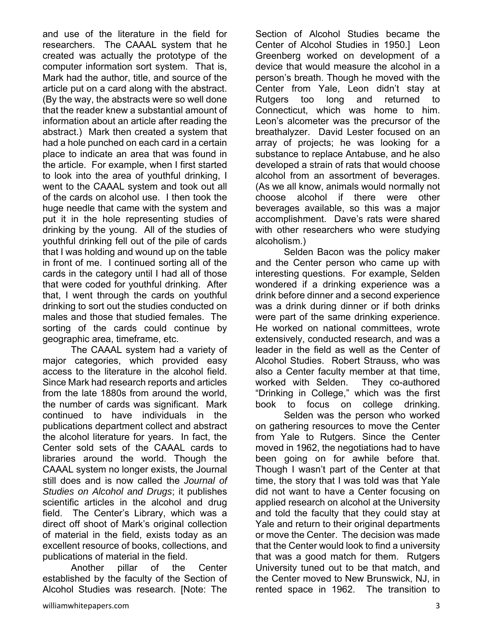and use of the literature in the field for researchers. The CAAAL system that he created was actually the prototype of the computer information sort system. That is, Mark had the author, title, and source of the article put on a card along with the abstract. (By the way, the abstracts were so well done that the reader knew a substantial amount of information about an article after reading the abstract.) Mark then created a system that had a hole punched on each card in a certain place to indicate an area that was found in the article. For example, when I first started to look into the area of youthful drinking, I went to the CAAAL system and took out all of the cards on alcohol use. I then took the huge needle that came with the system and put it in the hole representing studies of drinking by the young. All of the studies of youthful drinking fell out of the pile of cards that I was holding and wound up on the table in front of me. I continued sorting all of the cards in the category until I had all of those that were coded for youthful drinking. After that, I went through the cards on youthful drinking to sort out the studies conducted on males and those that studied females. The sorting of the cards could continue by geographic area, timeframe, etc.

 The CAAAL system had a variety of major categories, which provided easy access to the literature in the alcohol field. Since Mark had research reports and articles from the late 1880s from around the world, the number of cards was significant. Mark continued to have individuals in the publications department collect and abstract the alcohol literature for years. In fact, the Center sold sets of the CAAAL cards to libraries around the world. Though the CAAAL system no longer exists, the Journal still does and is now called the *Journal of Studies on Alcohol and Drugs*; it publishes scientific articles in the alcohol and drug field. The Center's Library, which was a direct off shoot of Mark's original collection of material in the field, exists today as an excellent resource of books, collections, and publications of material in the field.

 Another pillar of the Center established by the faculty of the Section of Alcohol Studies was research. [Note: The

Section of Alcohol Studies became the Center of Alcohol Studies in 1950.] Leon Greenberg worked on development of a device that would measure the alcohol in a person's breath. Though he moved with the Center from Yale, Leon didn't stay at Rutgers too long and returned to Connecticut, which was home to him. Leon's alcometer was the precursor of the breathalyzer. David Lester focused on an array of projects; he was looking for a substance to replace Antabuse, and he also developed a strain of rats that would choose alcohol from an assortment of beverages. (As we all know, animals would normally not choose alcohol if there were other beverages available, so this was a major accomplishment. Dave's rats were shared with other researchers who were studying alcoholism.)

 Selden Bacon was the policy maker and the Center person who came up with interesting questions. For example, Selden wondered if a drinking experience was a drink before dinner and a second experience was a drink during dinner or if both drinks were part of the same drinking experience. He worked on national committees, wrote extensively, conducted research, and was a leader in the field as well as the Center of Alcohol Studies. Robert Strauss, who was also a Center faculty member at that time, worked with Selden. They co-authored "Drinking in College," which was the first book to focus on college drinking.

 Selden was the person who worked on gathering resources to move the Center from Yale to Rutgers. Since the Center moved in 1962, the negotiations had to have been going on for awhile before that. Though I wasn't part of the Center at that time, the story that I was told was that Yale did not want to have a Center focusing on applied research on alcohol at the University and told the faculty that they could stay at Yale and return to their original departments or move the Center. The decision was made that the Center would look to find a university that was a good match for them. Rutgers University tuned out to be that match, and the Center moved to New Brunswick, NJ, in rented space in 1962. The transition to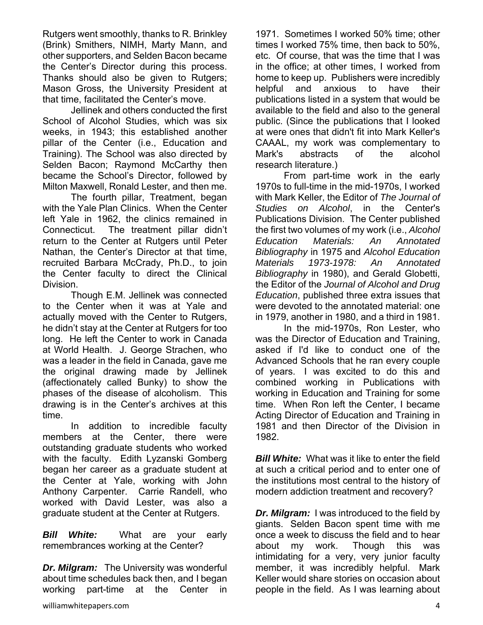Rutgers went smoothly, thanks to R. Brinkley (Brink) Smithers, NIMH, Marty Mann, and other supporters, and Selden Bacon became the Center's Director during this process. Thanks should also be given to Rutgers; Mason Gross, the University President at that time, facilitated the Center's move.

 Jellinek and others conducted the first School of Alcohol Studies, which was six weeks, in 1943; this established another pillar of the Center (i.e., Education and Training). The School was also directed by Selden Bacon; Raymond McCarthy then became the School's Director, followed by Milton Maxwell, Ronald Lester, and then me.

 The fourth pillar, Treatment, began with the Yale Plan Clinics. When the Center left Yale in 1962, the clinics remained in Connecticut. The treatment pillar didn't return to the Center at Rutgers until Peter Nathan, the Center's Director at that time, recruited Barbara McCrady, Ph.D., to join the Center faculty to direct the Clinical Division.

 Though E.M. Jellinek was connected to the Center when it was at Yale and actually moved with the Center to Rutgers, he didn't stay at the Center at Rutgers for too long. He left the Center to work in Canada at World Health. J. George Strachen, who was a leader in the field in Canada, gave me the original drawing made by Jellinek (affectionately called Bunky) to show the phases of the disease of alcoholism. This drawing is in the Center's archives at this time.

 In addition to incredible faculty members at the Center, there were outstanding graduate students who worked with the faculty. Edith Lyzanski Gomberg began her career as a graduate student at the Center at Yale, working with John Anthony Carpenter. Carrie Randell, who worked with David Lester, was also a graduate student at the Center at Rutgers.

*Bill White:* What are your early remembrances working at the Center?

*Dr. Milgram:* The University was wonderful about time schedules back then, and I began working part-time at the Center in 1971. Sometimes I worked 50% time; other times I worked 75% time, then back to 50%, etc. Of course, that was the time that I was in the office; at other times, I worked from home to keep up. Publishers were incredibly helpful and anxious to have their publications listed in a system that would be available to the field and also to the general public. (Since the publications that I looked at were ones that didn't fit into Mark Keller's CAAAL, my work was complementary to Mark's abstracts of the alcohol research literature.)

 From part-time work in the early 1970s to full-time in the mid-1970s, I worked with Mark Keller, the Editor of *The Journal of Studies on Alcohol*, in the Center's Publications Division. The Center published the first two volumes of my work (i.e., *Alcohol Education Materials: An Annotated Bibliography* in 1975 and *Alcohol Education Materials 1973-1978: An Annotated Bibliography* in 1980), and Gerald Globetti, the Editor of the *Journal of Alcohol and Drug Education*, published three extra issues that were devoted to the annotated material: one in 1979, another in 1980, and a third in 1981.

 In the mid-1970s, Ron Lester, who was the Director of Education and Training, asked if I'd like to conduct one of the Advanced Schools that he ran every couple of years. I was excited to do this and combined working in Publications with working in Education and Training for some time. When Ron left the Center, I became Acting Director of Education and Training in 1981 and then Director of the Division in 1982.

*Bill White:* What was it like to enter the field at such a critical period and to enter one of the institutions most central to the history of modern addiction treatment and recovery?

*Dr. Milgram:* I was introduced to the field by giants. Selden Bacon spent time with me once a week to discuss the field and to hear about my work. Though this was intimidating for a very, very junior faculty member, it was incredibly helpful. Mark Keller would share stories on occasion about people in the field. As I was learning about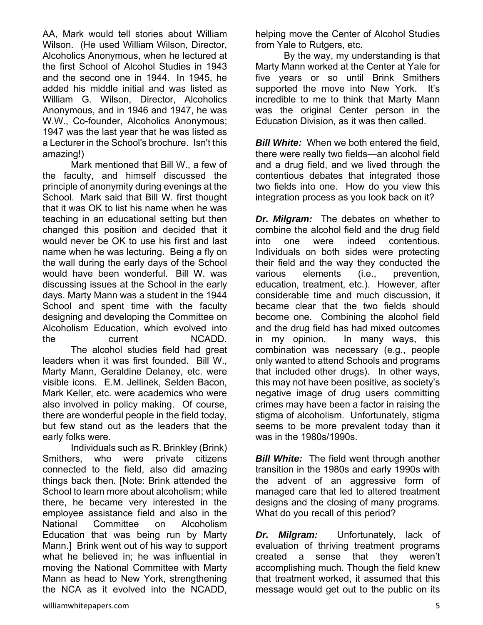AA, Mark would tell stories about William Wilson. (He used William Wilson, Director, Alcoholics Anonymous, when he lectured at the first School of Alcohol Studies in 1943 and the second one in 1944. In 1945, he added his middle initial and was listed as William G. Wilson, Director, Alcoholics Anonymous, and in 1946 and 1947, he was W.W., Co-founder, Alcoholics Anonymous; 1947 was the last year that he was listed as a Lecturer in the School's brochure. Isn't this amazing!)

 Mark mentioned that Bill W., a few of the faculty, and himself discussed the principle of anonymity during evenings at the School. Mark said that Bill W. first thought that it was OK to list his name when he was teaching in an educational setting but then changed this position and decided that it would never be OK to use his first and last name when he was lecturing. Being a fly on the wall during the early days of the School would have been wonderful. Bill W. was discussing issues at the School in the early days. Marty Mann was a student in the 1944 School and spent time with the faculty designing and developing the Committee on Alcoholism Education, which evolved into the current NCADD. The alcohol studies field had great leaders when it was first founded. Bill W., Marty Mann, Geraldine Delaney, etc. were visible icons. E.M. Jellinek, Selden Bacon, Mark Keller, etc. were academics who were also involved in policy making. Of course, there are wonderful people in the field today, but few stand out as the leaders that the early folks were.

 Individuals such as R. Brinkley (Brink) Smithers, who were private citizens connected to the field, also did amazing things back then. [Note: Brink attended the School to learn more about alcoholism; while there, he became very interested in the employee assistance field and also in the National Committee on Alcoholism Education that was being run by Marty Mann.] Brink went out of his way to support what he believed in; he was influential in moving the National Committee with Marty Mann as head to New York, strengthening the NCA as it evolved into the NCADD,

helping move the Center of Alcohol Studies from Yale to Rutgers, etc.

 By the way, my understanding is that Marty Mann worked at the Center at Yale for five years or so until Brink Smithers supported the move into New York. It's incredible to me to think that Marty Mann was the original Center person in the Education Division, as it was then called.

*Bill White:* When we both entered the field. there were really two fields—an alcohol field and a drug field, and we lived through the contentious debates that integrated those two fields into one. How do you view this integration process as you look back on it?

*Dr. Milgram:* The debates on whether to combine the alcohol field and the drug field into one were indeed contentious. Individuals on both sides were protecting their field and the way they conducted the various elements (i.e., prevention, education, treatment, etc.). However, after considerable time and much discussion, it became clear that the two fields should become one. Combining the alcohol field and the drug field has had mixed outcomes in my opinion. In many ways, this combination was necessary (e.g., people only wanted to attend Schools and programs that included other drugs). In other ways, this may not have been positive, as society's negative image of drug users committing crimes may have been a factor in raising the stigma of alcoholism. Unfortunately, stigma seems to be more prevalent today than it was in the 1980s/1990s.

*Bill White:* The field went through another transition in the 1980s and early 1990s with the advent of an aggressive form of managed care that led to altered treatment designs and the closing of many programs. What do you recall of this period?

*Dr. Milgram:* Unfortunately, lack of evaluation of thriving treatment programs created a sense that they weren't accomplishing much. Though the field knew that treatment worked, it assumed that this message would get out to the public on its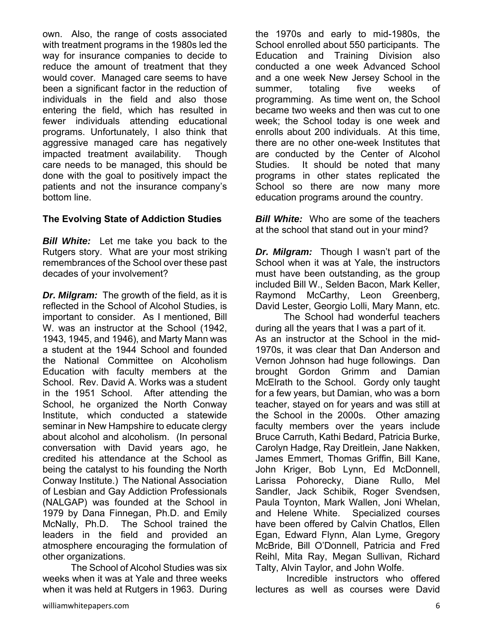own. Also, the range of costs associated with treatment programs in the 1980s led the way for insurance companies to decide to reduce the amount of treatment that they would cover. Managed care seems to have been a significant factor in the reduction of individuals in the field and also those entering the field, which has resulted in fewer individuals attending educational programs. Unfortunately, I also think that aggressive managed care has negatively impacted treatment availability. Though care needs to be managed, this should be done with the goal to positively impact the patients and not the insurance company's bottom line.

### **The Evolving State of Addiction Studies**

*Bill White:* Let me take you back to the Rutgers story. What are your most striking remembrances of the School over these past decades of your involvement?

*Dr. Milgram:* The growth of the field, as it is reflected in the School of Alcohol Studies, is important to consider. As I mentioned, Bill W. was an instructor at the School (1942, 1943, 1945, and 1946), and Marty Mann was a student at the 1944 School and founded the National Committee on Alcoholism Education with faculty members at the School. Rev. David A. Works was a student in the 1951 School. After attending the School, he organized the North Conway Institute, which conducted a statewide seminar in New Hampshire to educate clergy about alcohol and alcoholism. (In personal conversation with David years ago, he credited his attendance at the School as being the catalyst to his founding the North Conway Institute.) The National Association of Lesbian and Gay Addiction Professionals (NALGAP) was founded at the School in 1979 by Dana Finnegan, Ph.D. and Emily McNally, Ph.D. The School trained the leaders in the field and provided an atmosphere encouraging the formulation of other organizations.

 The School of Alcohol Studies was six weeks when it was at Yale and three weeks when it was held at Rutgers in 1963. During the 1970s and early to mid-1980s, the School enrolled about 550 participants. The Education and Training Division also conducted a one week Advanced School and a one week New Jersey School in the summer, totaling five weeks of programming. As time went on, the School became two weeks and then was cut to one week; the School today is one week and enrolls about 200 individuals. At this time, there are no other one-week Institutes that are conducted by the Center of Alcohol Studies. It should be noted that many programs in other states replicated the School so there are now many more education programs around the country.

*Bill White:* Who are some of the teachers at the school that stand out in your mind?

*Dr. Milgram:* Though I wasn't part of the School when it was at Yale, the instructors must have been outstanding, as the group included Bill W., Selden Bacon, Mark Keller, Raymond McCarthy, Leon Greenberg, David Lester, Georgio Lolli, Mary Mann, etc.

 The School had wonderful teachers during all the years that I was a part of it. As an instructor at the School in the mid-1970s, it was clear that Dan Anderson and Vernon Johnson had huge followings. Dan brought Gordon Grimm and Damian McElrath to the School. Gordy only taught for a few years, but Damian, who was a born teacher, stayed on for years and was still at the School in the 2000s. Other amazing faculty members over the years include Bruce Carruth, Kathi Bedard, Patricia Burke, Carolyn Hadge, Ray Dreitlein, Jane Nakken, James Emmert, Thomas Griffin, Bill Kane, John Kriger, Bob Lynn, Ed McDonnell, Larissa Pohorecky, Diane Rullo, Mel Sandler, Jack Schibik, Roger Svendsen, Paula Toynton, Mark Wallen, Joni Whelan, and Helene White. Specialized courses have been offered by Calvin Chatlos, Ellen Egan, Edward Flynn, Alan Lyme, Gregory McBride, Bill O'Donnell, Patricia and Fred Reihl, Mita Ray, Megan Sullivan, Richard Talty, Alvin Taylor, and John Wolfe.

 Incredible instructors who offered lectures as well as courses were David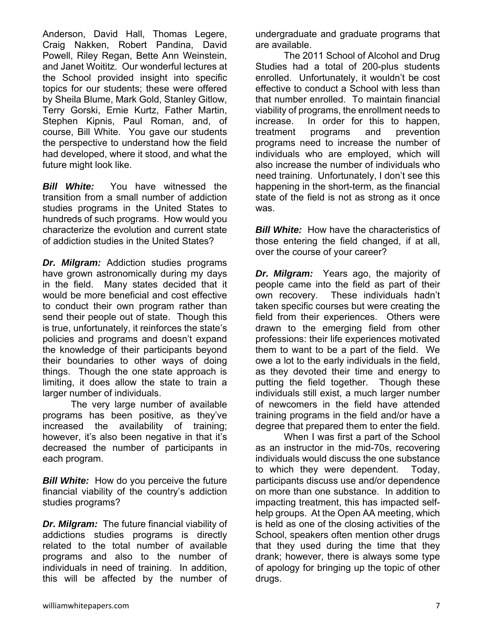each program. *Bill White:* How do you perceive the future financial viability of the country's addiction studies programs?

larger number of individuals.

future might look like.

*Dr. Milgram:* The future financial viability of addictions studies programs is directly related to the total number of available programs and also to the number of individuals in need of training. In addition, this will be affected by the number of

The very large number of available

programs has been positive, as they've increased the availability of training; however, it's also been negative in that it's decreased the number of participants in

Anderson, David Hall, Thomas Legere, Craig Nakken, Robert Pandina, David Powell, Riley Regan, Bette Ann Weinstein, and Janet Woititz. Our wonderful lectures at the School provided insight into specific topics for our students; these were offered by Sheila Blume, Mark Gold, Stanley Gitlow, Terry Gorski, Ernie Kurtz, Father Martin, Stephen Kipnis, Paul Roman, and, of course, Bill White. You gave our students the perspective to understand how the field had developed, where it stood, and what the

*Bill White:* You have witnessed the transition from a small number of addiction studies programs in the United States to hundreds of such programs. How would you characterize the evolution and current state of addiction studies in the United States?

*Dr. Milgram:* Addiction studies programs have grown astronomically during my days in the field. Many states decided that it would be more beneficial and cost effective to conduct their own program rather than send their people out of state. Though this is true, unfortunately, it reinforces the state's policies and programs and doesn't expand the knowledge of their participants beyond their boundaries to other ways of doing things. Though the one state approach is limiting, it does allow the state to train a undergraduate and graduate programs that are available.

 The 2011 School of Alcohol and Drug Studies had a total of 200-plus students enrolled. Unfortunately, it wouldn't be cost effective to conduct a School with less than that number enrolled. To maintain financial viability of programs, the enrollment needs to increase. In order for this to happen, treatment programs and prevention programs need to increase the number of individuals who are employed, which will also increase the number of individuals who need training. Unfortunately, I don't see this happening in the short-term, as the financial state of the field is not as strong as it once was.

*Bill White:* How have the characteristics of those entering the field changed, if at all, over the course of your career?

*Dr. Milgram:* Years ago, the majority of people came into the field as part of their own recovery. These individuals hadn't taken specific courses but were creating the field from their experiences. Others were drawn to the emerging field from other professions: their life experiences motivated them to want to be a part of the field. We owe a lot to the early individuals in the field, as they devoted their time and energy to putting the field together. Though these individuals still exist, a much larger number of newcomers in the field have attended training programs in the field and/or have a degree that prepared them to enter the field.

 When I was first a part of the School as an instructor in the mid-70s, recovering individuals would discuss the one substance to which they were dependent. Today, participants discuss use and/or dependence on more than one substance. In addition to impacting treatment, this has impacted selfhelp groups. At the Open AA meeting, which is held as one of the closing activities of the School, speakers often mention other drugs that they used during the time that they drank; however, there is always some type of apology for bringing up the topic of other drugs.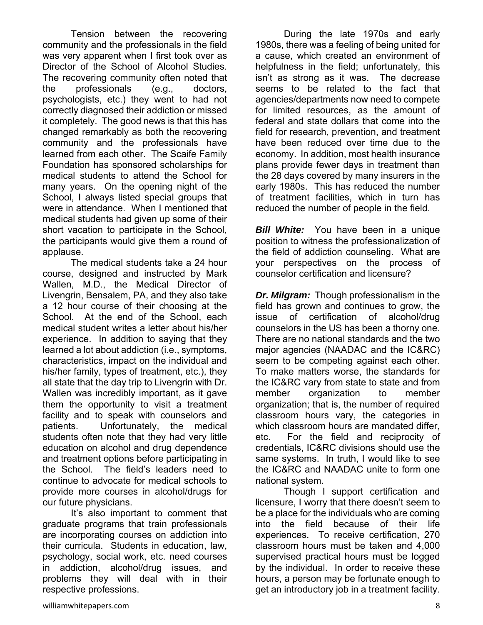Tension between the recovering community and the professionals in the field was very apparent when I first took over as Director of the School of Alcohol Studies. The recovering community often noted that the professionals (e.g., doctors, psychologists, etc.) they went to had not correctly diagnosed their addiction or missed it completely. The good news is that this has changed remarkably as both the recovering community and the professionals have learned from each other. The Scaife Family Foundation has sponsored scholarships for medical students to attend the School for many years. On the opening night of the School, I always listed special groups that were in attendance. When I mentioned that medical students had given up some of their short vacation to participate in the School, the participants would give them a round of applause.

 The medical students take a 24 hour course, designed and instructed by Mark Wallen, M.D., the Medical Director of Livengrin, Bensalem, PA, and they also take a 12 hour course of their choosing at the School. At the end of the School, each medical student writes a letter about his/her experience. In addition to saying that they learned a lot about addiction (i.e., symptoms, characteristics, impact on the individual and his/her family, types of treatment, etc.), they all state that the day trip to Livengrin with Dr. Wallen was incredibly important, as it gave them the opportunity to visit a treatment facility and to speak with counselors and patients. Unfortunately, the medical students often note that they had very little education on alcohol and drug dependence and treatment options before participating in the School. The field's leaders need to continue to advocate for medical schools to provide more courses in alcohol/drugs for our future physicians.

 It's also important to comment that graduate programs that train professionals are incorporating courses on addiction into their curricula. Students in education, law, psychology, social work, etc. need courses in addiction, alcohol/drug issues, and problems they will deal with in their respective professions.

 During the late 1970s and early 1980s, there was a feeling of being united for a cause, which created an environment of helpfulness in the field; unfortunately, this isn't as strong as it was. The decrease seems to be related to the fact that agencies/departments now need to compete for limited resources, as the amount of federal and state dollars that come into the field for research, prevention, and treatment have been reduced over time due to the economy. In addition, most health insurance plans provide fewer days in treatment than the 28 days covered by many insurers in the early 1980s. This has reduced the number of treatment facilities, which in turn has reduced the number of people in the field.

*Bill White:* You have been in a unique position to witness the professionalization of the field of addiction counseling. What are your perspectives on the process of counselor certification and licensure?

*Dr. Milgram:* Though professionalism in the field has grown and continues to grow, the issue of certification of alcohol/drug counselors in the US has been a thorny one. There are no national standards and the two major agencies (NAADAC and the IC&RC) seem to be competing against each other. To make matters worse, the standards for the IC&RC vary from state to state and from member organization to member organization; that is, the number of required classroom hours vary, the categories in which classroom hours are mandated differ, etc. For the field and reciprocity of credentials, IC&RC divisions should use the same systems. In truth, I would like to see the IC&RC and NAADAC unite to form one national system.

 Though I support certification and licensure, I worry that there doesn't seem to be a place for the individuals who are coming into the field because of their life experiences. To receive certification, 270 classroom hours must be taken and 4,000 supervised practical hours must be logged by the individual. In order to receive these hours, a person may be fortunate enough to get an introductory job in a treatment facility.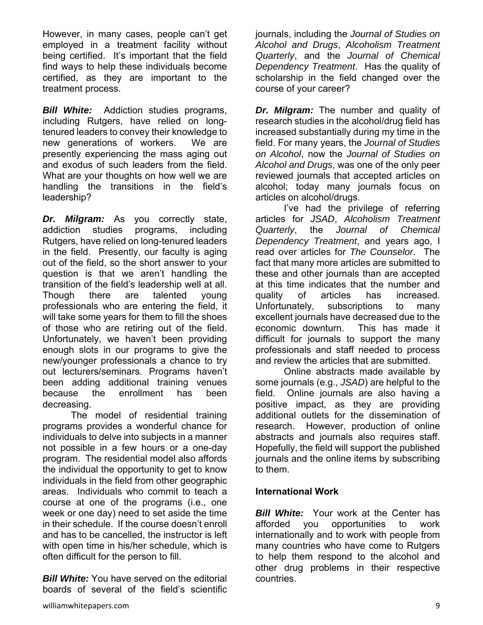However, in many cases, people can't get employed in a treatment facility without being certified. It's important that the field find ways to help these individuals become certified, as they are important to the treatment process.

*Bill White:* Addiction studies programs, including Rutgers, have relied on longtenured leaders to convey their knowledge to new generations of workers. We are presently experiencing the mass aging out and exodus of such leaders from the field. What are your thoughts on how well we are handling the transitions in the field's leadership?

*Dr. Milgram:* As you correctly state, addiction studies programs, including Rutgers, have relied on long-tenured leaders in the field. Presently, our faculty is aging out of the field, so the short answer to your question is that we aren't handling the transition of the field's leadership well at all. Though there are talented young professionals who are entering the field, it will take some years for them to fill the shoes of those who are retiring out of the field. Unfortunately, we haven't been providing enough slots in our programs to give the new/younger professionals a chance to try out lecturers/seminars. Programs haven't been adding additional training venues because the enrollment has been decreasing.

 The model of residential training programs provides a wonderful chance for individuals to delve into subjects in a manner not possible in a few hours or a one-day program. The residential model also affords the individual the opportunity to get to know individuals in the field from other geographic areas. Individuals who commit to teach a course at one of the programs (i.e., one week or one day) need to set aside the time in their schedule. If the course doesn't enroll and has to be cancelled, the instructor is left with open time in his/her schedule, which is often difficult for the person to fill.

*Bill White:* You have served on the editorial boards of several of the field's scientific

journals, including the *Journal of Studies on Alcohol and Drugs*, *Alcoholism Treatment Quarterly*, and the *Journal of Chemical Dependency Treatment*. Has the quality of scholarship in the field changed over the course of your career?

*Dr. Milgram:* The number and quality of research studies in the alcohol/drug field has increased substantially during my time in the field. For many years, the *Journal of Studies on Alcohol*, now the *Journal of Studies on Alcohol and Drugs*, was one of the only peer reviewed journals that accepted articles on alcohol; today many journals focus on articles on alcohol/drugs.

 I've had the privilege of referring articles for *JSAD*, *Alcoholism Treatment Quarterly*, the *Journal of Chemical Dependency Treatment*, and years ago, I read over articles for *The Counselor*. The fact that many more articles are submitted to these and other journals than are accepted at this time indicates that the number and quality of articles has increased. Unfortunately, subscriptions to many excellent journals have decreased due to the economic downturn. This has made it difficult for journals to support the many professionals and staff needed to process and review the articles that are submitted.

 Online abstracts made available by some journals (e.g., *JSAD*) are helpful to the field. Online journals are also having a positive impact, as they are providing additional outlets for the dissemination of research. However, production of online abstracts and journals also requires staff. Hopefully, the field will support the published journals and the online items by subscribing to them.

### **International Work**

*Bill White:* Your work at the Center has afforded you opportunities to work internationally and to work with people from many countries who have come to Rutgers to help them respond to the alcohol and other drug problems in their respective countries.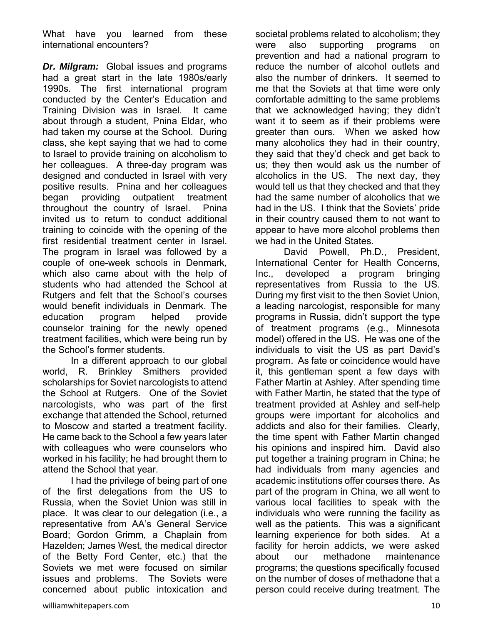What have you learned from these international encounters?

*Dr. Milgram:* Global issues and programs had a great start in the late 1980s/early 1990s. The first international program conducted by the Center's Education and Training Division was in Israel. It came about through a student, Pnina Eldar, who had taken my course at the School. During class, she kept saying that we had to come to Israel to provide training on alcoholism to her colleagues. A three-day program was designed and conducted in Israel with very positive results. Pnina and her colleagues began providing outpatient treatment throughout the country of Israel. Pnina invited us to return to conduct additional training to coincide with the opening of the first residential treatment center in Israel. The program in Israel was followed by a couple of one-week schools in Denmark, which also came about with the help of students who had attended the School at Rutgers and felt that the School's courses would benefit individuals in Denmark. The education program helped provide counselor training for the newly opened treatment facilities, which were being run by the School's former students.

 In a different approach to our global world, R. Brinkley Smithers provided scholarships for Soviet narcologists to attend the School at Rutgers. One of the Soviet narcologists, who was part of the first exchange that attended the School, returned to Moscow and started a treatment facility. He came back to the School a few years later with colleagues who were counselors who worked in his facility; he had brought them to attend the School that year.

 I had the privilege of being part of one of the first delegations from the US to Russia, when the Soviet Union was still in place. It was clear to our delegation (i.e., a representative from AA's General Service Board; Gordon Grimm, a Chaplain from Hazelden; James West, the medical director of the Betty Ford Center, etc.) that the Soviets we met were focused on similar issues and problems. The Soviets were concerned about public intoxication and societal problems related to alcoholism; they were also supporting programs on prevention and had a national program to reduce the number of alcohol outlets and also the number of drinkers. It seemed to me that the Soviets at that time were only comfortable admitting to the same problems that we acknowledged having; they didn't want it to seem as if their problems were greater than ours. When we asked how many alcoholics they had in their country, they said that they'd check and get back to us; they then would ask us the number of alcoholics in the US. The next day, they would tell us that they checked and that they had the same number of alcoholics that we had in the US. I think that the Soviets' pride in their country caused them to not want to appear to have more alcohol problems then we had in the United States.

 David Powell, Ph.D., President, International Center for Health Concerns, Inc., developed a program bringing representatives from Russia to the US. During my first visit to the then Soviet Union, a leading narcologist, responsible for many programs in Russia, didn't support the type of treatment programs (e.g., Minnesota model) offered in the US. He was one of the individuals to visit the US as part David's program. As fate or coincidence would have it, this gentleman spent a few days with Father Martin at Ashley. After spending time with Father Martin, he stated that the type of treatment provided at Ashley and self-help groups were important for alcoholics and addicts and also for their families. Clearly, the time spent with Father Martin changed his opinions and inspired him. David also put together a training program in China; he had individuals from many agencies and academic institutions offer courses there. As part of the program in China, we all went to various local facilities to speak with the individuals who were running the facility as well as the patients. This was a significant learning experience for both sides. At a facility for heroin addicts, we were asked about our methadone maintenance programs; the questions specifically focused on the number of doses of methadone that a person could receive during treatment. The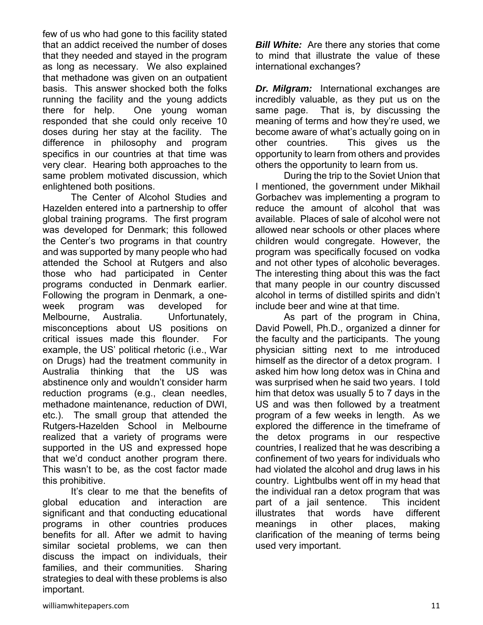few of us who had gone to this facility stated that an addict received the number of doses that they needed and stayed in the program as long as necessary. We also explained that methadone was given on an outpatient basis. This answer shocked both the folks running the facility and the young addicts there for help. One young woman responded that she could only receive 10 doses during her stay at the facility. The difference in philosophy and program specifics in our countries at that time was very clear. Hearing both approaches to the same problem motivated discussion, which enlightened both positions.

 The Center of Alcohol Studies and Hazelden entered into a partnership to offer global training programs. The first program was developed for Denmark; this followed the Center's two programs in that country and was supported by many people who had attended the School at Rutgers and also those who had participated in Center programs conducted in Denmark earlier. Following the program in Denmark, a oneweek program was developed for Melbourne, Australia. Unfortunately, misconceptions about US positions on critical issues made this flounder. For example, the US' political rhetoric (i.e., War on Drugs) had the treatment community in Australia thinking that the US was abstinence only and wouldn't consider harm reduction programs (e.g., clean needles, methadone maintenance, reduction of DWI, etc.). The small group that attended the Rutgers-Hazelden School in Melbourne realized that a variety of programs were supported in the US and expressed hope that we'd conduct another program there. This wasn't to be, as the cost factor made this prohibitive.

 It's clear to me that the benefits of global education and interaction are significant and that conducting educational programs in other countries produces benefits for all. After we admit to having similar societal problems, we can then discuss the impact on individuals, their families, and their communities. Sharing strategies to deal with these problems is also important.

*Bill White:* Are there any stories that come to mind that illustrate the value of these international exchanges?

*Dr. Milgram:* International exchanges are incredibly valuable, as they put us on the same page. That is, by discussing the meaning of terms and how they're used, we become aware of what's actually going on in other countries. This gives us the opportunity to learn from others and provides others the opportunity to learn from us.

 During the trip to the Soviet Union that I mentioned, the government under Mikhail Gorbachev was implementing a program to reduce the amount of alcohol that was available. Places of sale of alcohol were not allowed near schools or other places where children would congregate. However, the program was specifically focused on vodka and not other types of alcoholic beverages. The interesting thing about this was the fact that many people in our country discussed alcohol in terms of distilled spirits and didn't include beer and wine at that time.

 As part of the program in China, David Powell, Ph.D., organized a dinner for the faculty and the participants. The young physician sitting next to me introduced himself as the director of a detox program. I asked him how long detox was in China and was surprised when he said two years. I told him that detox was usually 5 to 7 days in the US and was then followed by a treatment program of a few weeks in length. As we explored the difference in the timeframe of the detox programs in our respective countries, I realized that he was describing a confinement of two years for individuals who had violated the alcohol and drug laws in his country. Lightbulbs went off in my head that the individual ran a detox program that was part of a jail sentence. This incident illustrates that words have different meanings in other places, making clarification of the meaning of terms being used very important.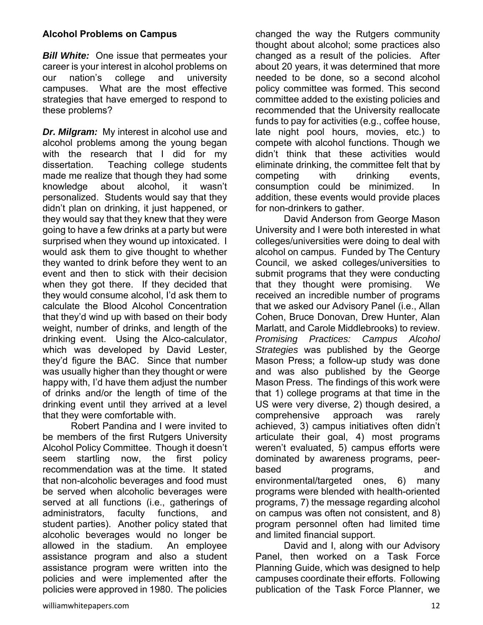### **Alcohol Problems on Campus**

*Bill White:* One issue that permeates your career is your interest in alcohol problems on our nation's college and university campuses. What are the most effective strategies that have emerged to respond to these problems?

*Dr. Milgram:* My interest in alcohol use and alcohol problems among the young began with the research that I did for my dissertation. Teaching college students made me realize that though they had some knowledge about alcohol, it wasn't personalized. Students would say that they didn't plan on drinking, it just happened, or they would say that they knew that they were going to have a few drinks at a party but were surprised when they wound up intoxicated. I would ask them to give thought to whether they wanted to drink before they went to an event and then to stick with their decision when they got there. If they decided that they would consume alcohol, I'd ask them to calculate the Blood Alcohol Concentration that they'd wind up with based on their body weight, number of drinks, and length of the drinking event. Using the Alco-calculator, which was developed by David Lester, they'd figure the BAC. Since that number was usually higher than they thought or were happy with, I'd have them adjust the number of drinks and/or the length of time of the drinking event until they arrived at a level that they were comfortable with.

 Robert Pandina and I were invited to be members of the first Rutgers University Alcohol Policy Committee. Though it doesn't seem startling now, the first policy recommendation was at the time. It stated that non-alcoholic beverages and food must be served when alcoholic beverages were served at all functions (i.e., gatherings of administrators, faculty functions, and student parties). Another policy stated that alcoholic beverages would no longer be allowed in the stadium. An employee assistance program and also a student assistance program were written into the policies and were implemented after the policies were approved in 1980. The policies

changed the way the Rutgers community thought about alcohol; some practices also changed as a result of the policies. After about 20 years, it was determined that more needed to be done, so a second alcohol policy committee was formed. This second committee added to the existing policies and recommended that the University reallocate funds to pay for activities (e.g., coffee house, late night pool hours, movies, etc.) to compete with alcohol functions. Though we didn't think that these activities would eliminate drinking, the committee felt that by competing with drinking events, consumption could be minimized. In addition, these events would provide places for non-drinkers to gather.

 David Anderson from George Mason University and I were both interested in what colleges/universities were doing to deal with alcohol on campus. Funded by The Century Council, we asked colleges/universities to submit programs that they were conducting that they thought were promising. We received an incredible number of programs that we asked our Advisory Panel (i.e., Allan Cohen, Bruce Donovan, Drew Hunter, Alan Marlatt, and Carole Middlebrooks) to review. *Promising Practices: Campus Alcohol Strategies* was published by the George Mason Press; a follow-up study was done and was also published by the George Mason Press. The findings of this work were that 1) college programs at that time in the US were very diverse, 2) though desired, a comprehensive approach was rarely achieved, 3) campus initiatives often didn't articulate their goal, 4) most programs weren't evaluated, 5) campus efforts were dominated by awareness programs, peerbased **programs**, and environmental/targeted ones, 6) many programs were blended with health-oriented programs, 7) the message regarding alcohol on campus was often not consistent, and 8) program personnel often had limited time and limited financial support.

 David and I, along with our Advisory Panel, then worked on a Task Force Planning Guide, which was designed to help campuses coordinate their efforts. Following publication of the Task Force Planner, we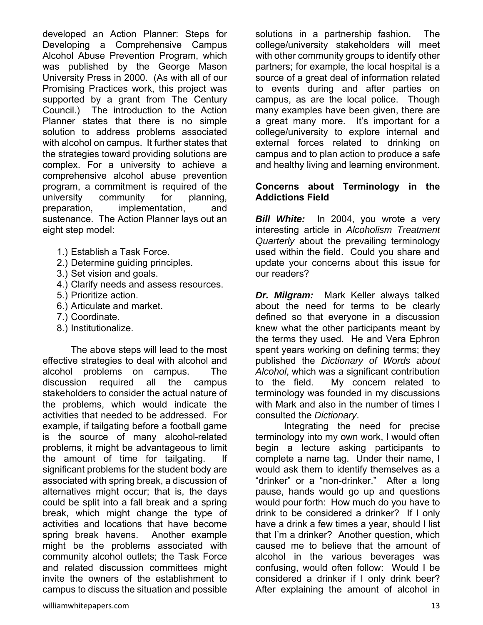developed an Action Planner: Steps for Developing a Comprehensive Campus Alcohol Abuse Prevention Program, which was published by the George Mason University Press in 2000. (As with all of our Promising Practices work, this project was supported by a grant from The Century Council.) The introduction to the Action Planner states that there is no simple solution to address problems associated with alcohol on campus. It further states that the strategies toward providing solutions are complex. For a university to achieve a comprehensive alcohol abuse prevention program, a commitment is required of the university community for planning, preparation, implementation, and sustenance. The Action Planner lays out an eight step model:

- 1.) Establish a Task Force.
- 2.) Determine guiding principles.
- 3.) Set vision and goals.
- 4.) Clarify needs and assess resources.
- 5.) Prioritize action.
- 6.) Articulate and market.
- 7.) Coordinate.
- 8.) Institutionalize.

 The above steps will lead to the most effective strategies to deal with alcohol and alcohol problems on campus. The discussion required all the campus stakeholders to consider the actual nature of the problems, which would indicate the activities that needed to be addressed. For example, if tailgating before a football game is the source of many alcohol-related problems, it might be advantageous to limit the amount of time for tailgating. If significant problems for the student body are associated with spring break, a discussion of alternatives might occur; that is, the days could be split into a fall break and a spring break, which might change the type of activities and locations that have become spring break havens. Another example might be the problems associated with community alcohol outlets; the Task Force and related discussion committees might invite the owners of the establishment to campus to discuss the situation and possible

solutions in a partnership fashion. The college/university stakeholders will meet with other community groups to identify other partners; for example, the local hospital is a source of a great deal of information related to events during and after parties on campus, as are the local police. Though many examples have been given, there are a great many more. It's important for a college/university to explore internal and external forces related to drinking on campus and to plan action to produce a safe and healthy living and learning environment.

#### **Concerns about Terminology in the Addictions Field**

*Bill White:* In 2004, you wrote a very interesting article in *Alcoholism Treatment Quarterly* about the prevailing terminology used within the field. Could you share and update your concerns about this issue for our readers?

*Dr. Milgram:* Mark Keller always talked about the need for terms to be clearly defined so that everyone in a discussion knew what the other participants meant by the terms they used. He and Vera Ephron spent years working on defining terms; they published the *Dictionary of Words about Alcohol*, which was a significant contribution to the field. My concern related to terminology was founded in my discussions with Mark and also in the number of times I consulted the *Dictionary*.

 Integrating the need for precise terminology into my own work, I would often begin a lecture asking participants to complete a name tag. Under their name, I would ask them to identify themselves as a "drinker" or a "non-drinker." After a long pause, hands would go up and questions would pour forth: How much do you have to drink to be considered a drinker? If I only have a drink a few times a year, should I list that I'm a drinker? Another question, which caused me to believe that the amount of alcohol in the various beverages was confusing, would often follow: Would I be considered a drinker if I only drink beer? After explaining the amount of alcohol in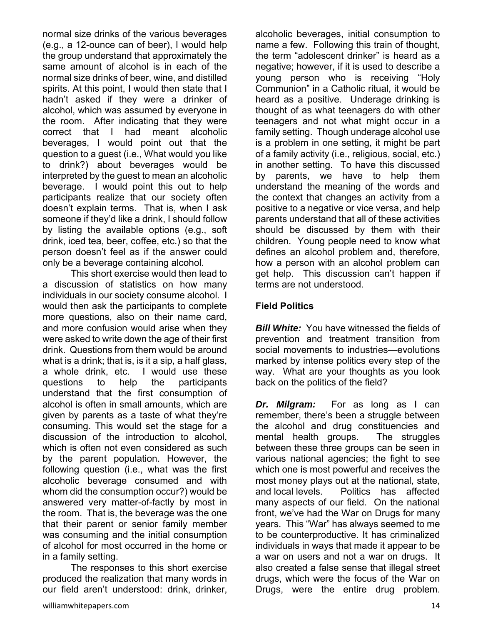normal size drinks of the various beverages (e.g., a 12-ounce can of beer), I would help the group understand that approximately the same amount of alcohol is in each of the normal size drinks of beer, wine, and distilled spirits. At this point, I would then state that I hadn't asked if they were a drinker of alcohol, which was assumed by everyone in the room. After indicating that they were correct that I had meant alcoholic beverages, I would point out that the question to a guest (i.e., What would you like to drink?) about beverages would be interpreted by the guest to mean an alcoholic beverage. I would point this out to help participants realize that our society often doesn't explain terms. That is, when I ask someone if they'd like a drink, I should follow by listing the available options (e.g., soft drink, iced tea, beer, coffee, etc.) so that the person doesn't feel as if the answer could only be a beverage containing alcohol.

 This short exercise would then lead to a discussion of statistics on how many individuals in our society consume alcohol. I would then ask the participants to complete more questions, also on their name card, and more confusion would arise when they were asked to write down the age of their first drink. Questions from them would be around what is a drink; that is, is it a sip, a half glass, a whole drink, etc. I would use these questions to help the participants understand that the first consumption of alcohol is often in small amounts, which are given by parents as a taste of what they're consuming. This would set the stage for a discussion of the introduction to alcohol, which is often not even considered as such by the parent population. However, the following question (i.e., what was the first alcoholic beverage consumed and with whom did the consumption occur?) would be answered very matter-of-factly by most in the room. That is, the beverage was the one that their parent or senior family member was consuming and the initial consumption of alcohol for most occurred in the home or in a family setting.

 The responses to this short exercise produced the realization that many words in our field aren't understood: drink, drinker,

alcoholic beverages, initial consumption to name a few. Following this train of thought, the term "adolescent drinker" is heard as a negative; however, if it is used to describe a young person who is receiving "Holy Communion" in a Catholic ritual, it would be heard as a positive. Underage drinking is thought of as what teenagers do with other teenagers and not what might occur in a family setting. Though underage alcohol use is a problem in one setting, it might be part of a family activity (i.e., religious, social, etc.) in another setting. To have this discussed by parents, we have to help them understand the meaning of the words and the context that changes an activity from a positive to a negative or vice versa, and help parents understand that all of these activities should be discussed by them with their children. Young people need to know what defines an alcohol problem and, therefore, how a person with an alcohol problem can get help. This discussion can't happen if terms are not understood.

## **Field Politics**

*Bill White:* You have witnessed the fields of prevention and treatment transition from social movements to industries—evolutions marked by intense politics every step of the way. What are your thoughts as you look back on the politics of the field?

*Dr. Milgram:* For as long as I can remember, there's been a struggle between the alcohol and drug constituencies and mental health groups. The struggles between these three groups can be seen in various national agencies; the fight to see which one is most powerful and receives the most money plays out at the national, state, and local levels. Politics has affected many aspects of our field. On the national front, we've had the War on Drugs for many years. This "War" has always seemed to me to be counterproductive. It has criminalized individuals in ways that made it appear to be a war on users and not a war on drugs. It also created a false sense that illegal street drugs, which were the focus of the War on Drugs, were the entire drug problem.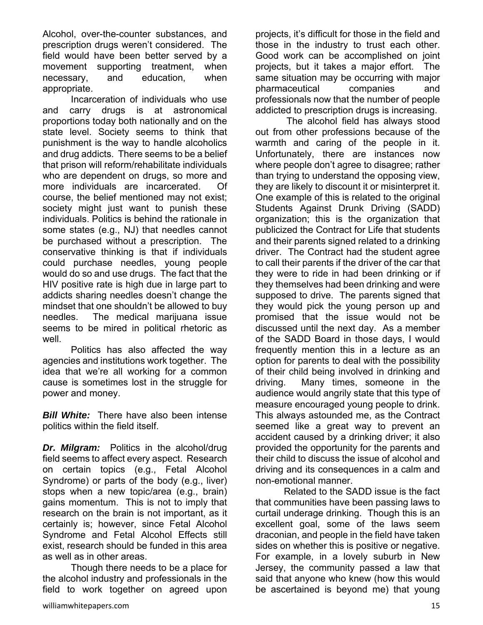Alcohol, over-the-counter substances, and prescription drugs weren't considered. The field would have been better served by a movement supporting treatment, when necessary, and education, when appropriate.

 Incarceration of individuals who use and carry drugs is at astronomical proportions today both nationally and on the state level. Society seems to think that punishment is the way to handle alcoholics and drug addicts. There seems to be a belief that prison will reform/rehabilitate individuals who are dependent on drugs, so more and more individuals are incarcerated. Of course, the belief mentioned may not exist; society might just want to punish these individuals. Politics is behind the rationale in some states (e.g., NJ) that needles cannot be purchased without a prescription. The conservative thinking is that if individuals could purchase needles, young people would do so and use drugs. The fact that the HIV positive rate is high due in large part to addicts sharing needles doesn't change the mindset that one shouldn't be allowed to buy needles. The medical marijuana issue seems to be mired in political rhetoric as well.

 Politics has also affected the way agencies and institutions work together. The idea that we're all working for a common cause is sometimes lost in the struggle for power and money.

*Bill White:* There have also been intense politics within the field itself.

*Dr. Milgram:* Politics in the alcohol/drug field seems to affect every aspect. Research on certain topics (e.g., Fetal Alcohol Syndrome) or parts of the body (e.g., liver) stops when a new topic/area (e.g., brain) gains momentum. This is not to imply that research on the brain is not important, as it certainly is; however, since Fetal Alcohol Syndrome and Fetal Alcohol Effects still exist, research should be funded in this area as well as in other areas.

 Though there needs to be a place for the alcohol industry and professionals in the field to work together on agreed upon projects, it's difficult for those in the field and those in the industry to trust each other. Good work can be accomplished on joint projects, but it takes a major effort. The same situation may be occurring with major pharmaceutical companies and professionals now that the number of people addicted to prescription drugs is increasing.

 The alcohol field has always stood out from other professions because of the warmth and caring of the people in it. Unfortunately, there are instances now where people don't agree to disagree; rather than trying to understand the opposing view, they are likely to discount it or misinterpret it. One example of this is related to the original Students Against Drunk Driving (SADD) organization; this is the organization that publicized the Contract for Life that students and their parents signed related to a drinking driver. The Contract had the student agree to call their parents if the driver of the car that they were to ride in had been drinking or if they themselves had been drinking and were supposed to drive. The parents signed that they would pick the young person up and promised that the issue would not be discussed until the next day. As a member of the SADD Board in those days, I would frequently mention this in a lecture as an option for parents to deal with the possibility of their child being involved in drinking and driving. Many times, someone in the audience would angrily state that this type of measure encouraged young people to drink. This always astounded me, as the Contract seemed like a great way to prevent an accident caused by a drinking driver; it also provided the opportunity for the parents and their child to discuss the issue of alcohol and driving and its consequences in a calm and non-emotional manner.

 Related to the SADD issue is the fact that communities have been passing laws to curtail underage drinking. Though this is an excellent goal, some of the laws seem draconian, and people in the field have taken sides on whether this is positive or negative. For example, in a lovely suburb in New Jersey, the community passed a law that said that anyone who knew (how this would be ascertained is beyond me) that young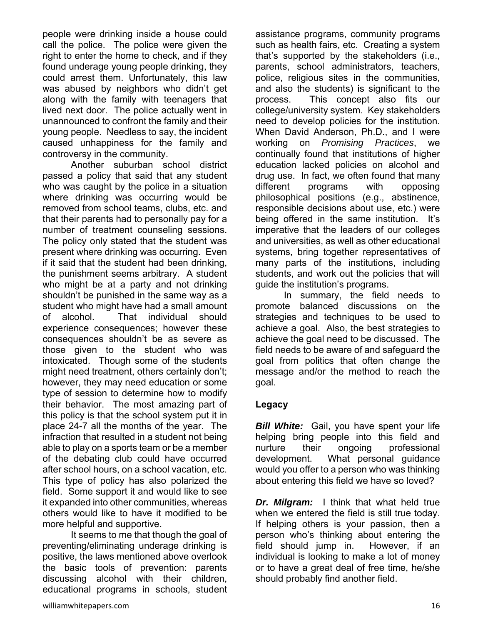people were drinking inside a house could call the police. The police were given the right to enter the home to check, and if they found underage young people drinking, they could arrest them. Unfortunately, this law was abused by neighbors who didn't get along with the family with teenagers that lived next door. The police actually went in unannounced to confront the family and their young people. Needless to say, the incident caused unhappiness for the family and controversy in the community.

 Another suburban school district passed a policy that said that any student who was caught by the police in a situation where drinking was occurring would be removed from school teams, clubs, etc. and that their parents had to personally pay for a number of treatment counseling sessions. The policy only stated that the student was present where drinking was occurring. Even if it said that the student had been drinking, the punishment seems arbitrary. A student who might be at a party and not drinking shouldn't be punished in the same way as a student who might have had a small amount of alcohol. That individual should experience consequences; however these consequences shouldn't be as severe as those given to the student who was intoxicated. Though some of the students might need treatment, others certainly don't; however, they may need education or some type of session to determine how to modify their behavior. The most amazing part of this policy is that the school system put it in place 24-7 all the months of the year. The infraction that resulted in a student not being able to play on a sports team or be a member of the debating club could have occurred after school hours, on a school vacation, etc. This type of policy has also polarized the field. Some support it and would like to see it expanded into other communities, whereas others would like to have it modified to be more helpful and supportive.

 It seems to me that though the goal of preventing/eliminating underage drinking is positive, the laws mentioned above overlook the basic tools of prevention: parents discussing alcohol with their children, educational programs in schools, student assistance programs, community programs such as health fairs, etc. Creating a system that's supported by the stakeholders (i.e., parents, school administrators, teachers, police, religious sites in the communities, and also the students) is significant to the process. This concept also fits our college/university system. Key stakeholders need to develop policies for the institution. When David Anderson, Ph.D., and I were working on *Promising Practices*, we continually found that institutions of higher education lacked policies on alcohol and drug use. In fact, we often found that many different programs with opposing philosophical positions (e.g., abstinence, responsible decisions about use, etc.) were being offered in the same institution. It's imperative that the leaders of our colleges and universities, as well as other educational systems, bring together representatives of many parts of the institutions, including students, and work out the policies that will guide the institution's programs.

 In summary, the field needs to promote balanced discussions on the strategies and techniques to be used to achieve a goal. Also, the best strategies to achieve the goal need to be discussed. The field needs to be aware of and safeguard the goal from politics that often change the message and/or the method to reach the goal.

#### **Legacy**

**Bill White:** Gail, you have spent your life helping bring people into this field and nurture their ongoing professional development. What personal guidance would you offer to a person who was thinking about entering this field we have so loved?

*Dr. Milgram:* I think that what held true when we entered the field is still true today. If helping others is your passion, then a person who's thinking about entering the field should jump in. However, if an individual is looking to make a lot of money or to have a great deal of free time, he/she should probably find another field.